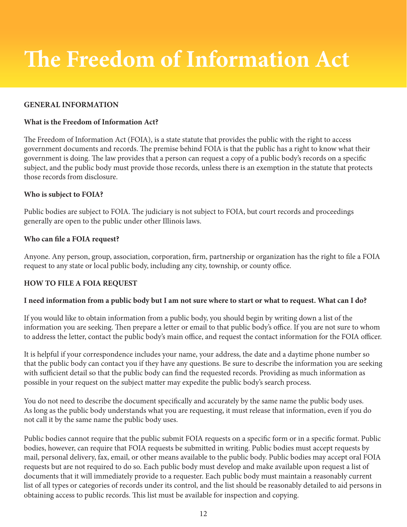# **The Freedom of Information Act**

#### **GENERAL INFORMATION**

#### **What is the Freedom of Information Act?**

The Freedom of Information Act (FOIA), is a state statute that provides the public with the right to access government documents and records. The premise behind FOIA is that the public has a right to know what their government is doing. The law provides that a person can request a copy of a public body's records on a specific subject, and the public body must provide those records, unless there is an exemption in the statute that protects those records from disclosure.

#### **Who is subject to FOIA?**

Public bodies are subject to FOIA. The judiciary is not subject to FOIA, but court records and proceedings generally are open to the public under other Illinois laws.

#### **Who can file a FOIA request?**

Anyone. Any person, group, association, corporation, firm, partnership or organization has the right to file a FOIA request to any state or local public body, including any city, township, or county office.

#### **HOW TO FILE A FOIA REQUEST**

#### **I need information from a public body but I am not sure where to start or what to request. What can I do?**

If you would like to obtain information from a public body, you should begin by writing down a list of the information you are seeking. Then prepare a letter or email to that public body's office. If you are not sure to whom to address the letter, contact the public body's main office, and request the contact information for the FOIA officer.

It is helpful if your correspondence includes your name, your address, the date and a daytime phone number so that the public body can contact you if they have any questions. Be sure to describe the information you are seeking with sufficient detail so that the public body can find the requested records. Providing as much information as possible in your request on the subject matter may expedite the public body's search process.

You do not need to describe the document specifically and accurately by the same name the public body uses. As long as the public body understands what you are requesting, it must release that information, even if you do not call it by the same name the public body uses.

Public bodies cannot require that the public submit FOIA requests on a specific form or in a specific format. Public bodies, however, can require that FOIA requests be submitted in writing. Public bodies must accept requests by mail, personal delivery, fax, email, or other means available to the public body. Public bodies may accept oral FOIA requests but are not required to do so. Each public body must develop and make available upon request a list of documents that it will immediately provide to a requester. Each public body must maintain a reasonably current list of all types or categories of records under its control, and the list should be reasonably detailed to aid persons in obtaining access to public records. This list must be available for inspection and copying.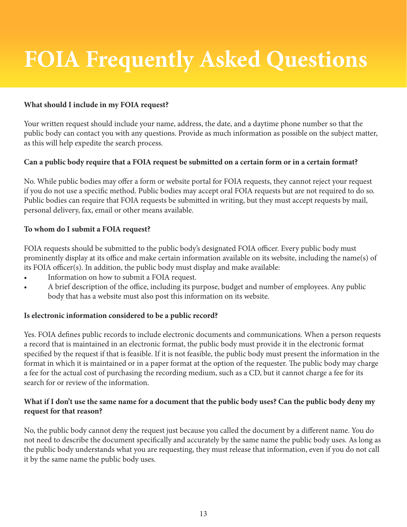# **FOIA Frequently Asked Questions**

## **What should I include in my FOIA request?**

Your written request should include your name, address, the date, and a daytime phone number so that the public body can contact you with any questions. Provide as much information as possible on the subject matter, as this will help expedite the search process.

## **Can a public body require that a FOIA request be submitted on a certain form or in a certain format?**

No. While public bodies may offer a form or website portal for FOIA requests, they cannot reject your request if you do not use a specific method. Public bodies may accept oral FOIA requests but are not required to do so. Public bodies can require that FOIA requests be submitted in writing, but they must accept requests by mail, personal delivery, fax, email or other means available.

## **To whom do I submit a FOIA request?**

FOIA requests should be submitted to the public body's designated FOIA officer. Every public body must prominently display at its office and make certain information available on its website, including the name(s) of its FOIA officer(s). In addition, the public body must display and make available:

- Information on how to submit a FOIA request.
- A brief description of the office, including its purpose, budget and number of employees. Any public body that has a website must also post this information on its website.

## **Is electronic information considered to be a public record?**

Yes. FOIA defines public records to include electronic documents and communications. When a person requests a record that is maintained in an electronic format, the public body must provide it in the electronic format specified by the request if that is feasible. If it is not feasible, the public body must present the information in the format in which it is maintained or in a paper format at the option of the requester. The public body may charge a fee for the actual cost of purchasing the recording medium, such as a CD, but it cannot charge a fee for its search for or review of the information.

## **What if I don't use the same name for a document that the public body uses? Can the public body deny my request for that reason?**

No, the public body cannot deny the request just because you called the document by a different name. You do not need to describe the document specifically and accurately by the same name the public body uses. As long as the public body understands what you are requesting, they must release that information, even if you do not call it by the same name the public body uses.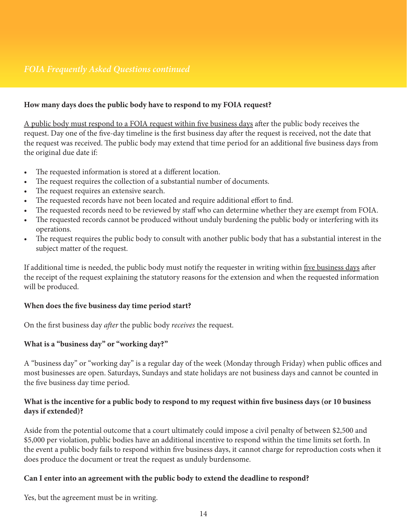# *FOIA Frequently Asked Questions continued*

#### **How many days does the public body have to respond to my FOIA request?**

A public body must respond to a FOIA request within five business days after the public body receives the request. Day one of the five-day timeline is the first business day after the request is received, not the date that the request was received. The public body may extend that time period for an additional five business days from the original due date if:

- The requested information is stored at a different location.
- The request requires the collection of a substantial number of documents.
- The request requires an extensive search.
- The requested records have not been located and require additional effort to find.
- The requested records need to be reviewed by staff who can determine whether they are exempt from FOIA.
- The requested records cannot be produced without unduly burdening the public body or interfering with its operations.
- The request requires the public body to consult with another public body that has a substantial interest in the subject matter of the request.

If additional time is needed, the public body must notify the requester in writing within five business days after the receipt of the request explaining the statutory reasons for the extension and when the requested information will be produced.

#### **When does the five business day time period start?**

On the first business day *after* the public body *receives* the request.

#### **What is a "business day" or "working day?"**

A "business day" or "working day" is a regular day of the week (Monday through Friday) when public offices and most businesses are open. Saturdays, Sundays and state holidays are not business days and cannot be counted in the five business day time period.

#### **What is the incentive for a public body to respond to my request within five business days (or 10 business days if extended)?**

Aside from the potential outcome that a court ultimately could impose a civil penalty of between \$2,500 and \$5,000 per violation, public bodies have an additional incentive to respond within the time limits set forth. In the event a public body fails to respond within five business days, it cannot charge for reproduction costs when it does produce the document or treat the request as unduly burdensome.

#### **Can I enter into an agreement with the public body to extend the deadline to respond?**

Yes, but the agreement must be in writing.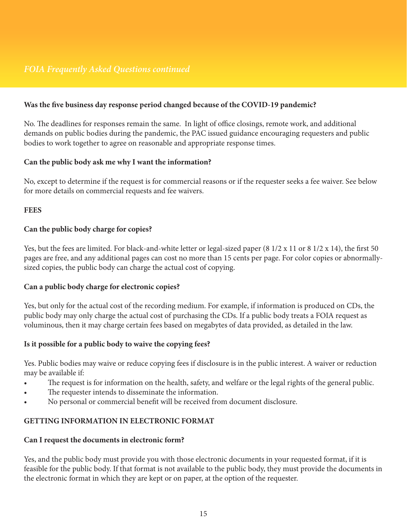## **Was the five business day response period changed because of the COVID-19 pandemic?**

No. The deadlines for responses remain the same. In light of office closings, remote work, and additional demands on public bodies during the pandemic, the PAC issued guidance encouraging requesters and public bodies to work together to agree on reasonable and appropriate response times.

## **Can the public body ask me why I want the information?**

No, except to determine if the request is for commercial reasons or if the requester seeks a fee waiver. See below for more details on commercial requests and fee waivers.

#### **FEES**

## **Can the public body charge for copies?**

Yes, but the fees are limited. For black-and-white letter or legal-sized paper (8 1/2 x 11 or 8 1/2 x 14), the first 50 pages are free, and any additional pages can cost no more than 15 cents per page. For color copies or abnormallysized copies, the public body can charge the actual cost of copying.

## **Can a public body charge for electronic copies?**

Yes, but only for the actual cost of the recording medium. For example, if information is produced on CDs, the public body may only charge the actual cost of purchasing the CDs. If a public body treats a FOIA request as voluminous, then it may charge certain fees based on megabytes of data provided, as detailed in the law.

## **Is it possible for a public body to waive the copying fees?**

Yes. Public bodies may waive or reduce copying fees if disclosure is in the public interest. A waiver or reduction may be available if:

- The request is for information on the health, safety, and welfare or the legal rights of the general public.
- The requester intends to disseminate the information.
- No personal or commercial benefit will be received from document disclosure.

## **GETTING INFORMATION IN ELECTRONIC FORMAT**

#### **Can I request the documents in electronic form?**

Yes, and the public body must provide you with those electronic documents in your requested format, if it is feasible for the public body. If that format is not available to the public body, they must provide the documents in the electronic format in which they are kept or on paper, at the option of the requester.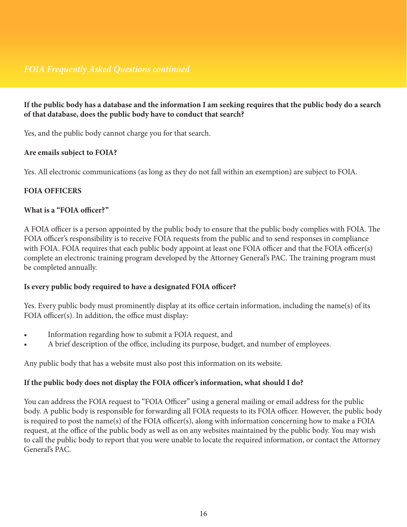## **If the public body has a database and the information I am seeking requires that the public body do a search of that database, does the public body have to conduct that search?**

Yes, and the public body cannot charge you for that search.

#### **Are emails subject to FOIA?**

Yes. All electronic communications (as long as they do not fall within an exemption) are subject to FOIA.

## **FOIA OFFICERS**

#### **What is a "FOIA officer?"**

A FOIA officer is a person appointed by the public body to ensure that the public body complies with FOIA. The FOIA officer's responsibility is to receive FOIA requests from the public and to send responses in compliance with FOIA. FOIA requires that each public body appoint at least one FOIA officer and that the FOIA officer(s) complete an electronic training program developed by the Attorney General's PAC. The training program must be completed annually.

## **Is every public body required to have a designated FOIA officer?**

Yes. Every public body must prominently display at its office certain information, including the name(s) of its FOIA officer(s). In addition, the office must display:

- Information regarding how to submit a FOIA request, and
- A brief description of the office, including its purpose, budget, and number of employees.

Any public body that has a website must also post this information on its website.

## **If the public body does not display the FOIA officer's information, what should I do?**

You can address the FOIA request to "FOIA Officer" using a general mailing or email address for the public body. A public body is responsible for forwarding all FOIA requests to its FOIA officer. However, the public body is required to post the name(s) of the FOIA officer(s), along with information concerning how to make a FOIA request, at the office of the public body as well as on any websites maintained by the public body. You may wish to call the public body to report that you were unable to locate the required information, or contact the Attorney General's PAC.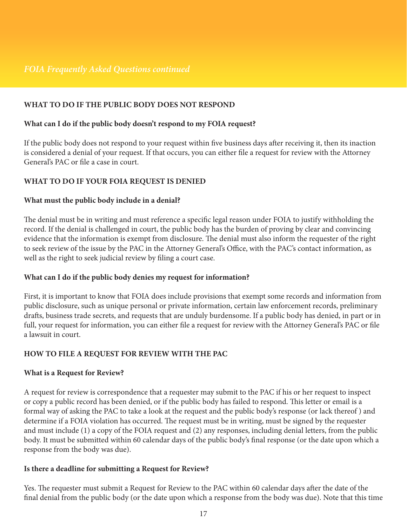## **WHAT TO DO IF THE PUBLIC BODY DOES NOT RESPOND**

#### **What can I do if the public body doesn't respond to my FOIA request?**

If the public body does not respond to your request within five business days after receiving it, then its inaction is considered a denial of your request. If that occurs, you can either file a request for review with the Attorney General's PAC or file a case in court.

## **WHAT TO DO IF YOUR FOIA REQUEST IS DENIED**

#### **What must the public body include in a denial?**

The denial must be in writing and must reference a specific legal reason under FOIA to justify withholding the record. If the denial is challenged in court, the public body has the burden of proving by clear and convincing evidence that the information is exempt from disclosure. The denial must also inform the requester of the right to seek review of the issue by the PAC in the Attorney General's Office, with the PAC's contact information, as well as the right to seek judicial review by filing a court case.

#### **What can I do if the public body denies my request for information?**

First, it is important to know that FOIA does include provisions that exempt some records and information from public disclosure, such as unique personal or private information, certain law enforcement records, preliminary drafts, business trade secrets, and requests that are unduly burdensome. If a public body has denied, in part or in full, your request for information, you can either file a request for review with the Attorney General's PAC or file a lawsuit in court.

#### **HOW TO FILE A REQUEST FOR REVIEW WITH THE PAC**

#### **What is a Request for Review?**

A request for review is correspondence that a requester may submit to the PAC if his or her request to inspect or copy a public record has been denied, or if the public body has failed to respond. This letter or email is a formal way of asking the PAC to take a look at the request and the public body's response (or lack thereof ) and determine if a FOIA violation has occurred. The request must be in writing, must be signed by the requester and must include (1) a copy of the FOIA request and (2) any responses, including denial letters, from the public body. It must be submitted within 60 calendar days of the public body's final response (or the date upon which a response from the body was due).

#### **Is there a deadline for submitting a Request for Review?**

Yes. The requester must submit a Request for Review to the PAC within 60 calendar days after the date of the final denial from the public body (or the date upon which a response from the body was due). Note that this time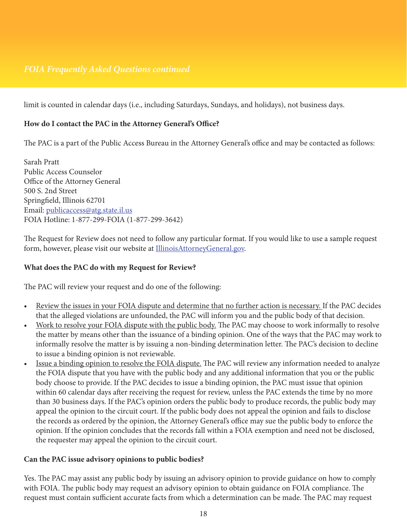# *FOIA Frequently Asked Questions continued*

limit is counted in calendar days (i.e., including Saturdays, Sundays, and holidays), not business days.

#### **How do I contact the PAC in the Attorney General's Office?**

The PAC is a part of the Public Access Bureau in the Attorney General's office and may be contacted as follows:

Sarah Pratt Public Access Counselor Office of the Attorney General 500 S. 2nd Street Springfield, Illinois 62701 Email: [publicaccess@atg.state.il.us](mailto:mailto:publicaccess%40atg.state.il.us?subject=) FOIA Hotline: 1-877-299-FOIA (1-877-299-3642)

The Request for Review does not need to follow any particular format. If you would like to use a sample request form, however, please visit our website at **IllinoisAttorneyGeneral.gov**.

#### **What does the PAC do with my Request for Review?**

The PAC will review your request and do one of the following:

- Review the issues in your FOIA dispute and determine that no further action is necessary. If the PAC decides that the alleged violations are unfounded, the PAC will inform you and the public body of that decision.
- Work to resolve your FOIA dispute with the public body. The PAC may choose to work informally to resolve the matter by means other than the issuance of a binding opinion. One of the ways that the PAC may work to informally resolve the matter is by issuing a non-binding determination letter. The PAC's decision to decline to issue a binding opinion is not reviewable.
- Issue a binding opinion to resolve the FOIA dispute. The PAC will review any information needed to analyze the FOIA dispute that you have with the public body and any additional information that you or the public body choose to provide. If the PAC decides to issue a binding opinion, the PAC must issue that opinion within 60 calendar days after receiving the request for review, unless the PAC extends the time by no more than 30 business days. If the PAC's opinion orders the public body to produce records, the public body may appeal the opinion to the circuit court. If the public body does not appeal the opinion and fails to disclose the records as ordered by the opinion, the Attorney General's office may sue the public body to enforce the opinion. If the opinion concludes that the records fall within a FOIA exemption and need not be disclosed, the requester may appeal the opinion to the circuit court.

#### **Can the PAC issue advisory opinions to public bodies?**

Yes. The PAC may assist any public body by issuing an advisory opinion to provide guidance on how to comply with FOIA. The public body may request an advisory opinion to obtain guidance on FOIA compliance. The request must contain sufficient accurate facts from which a determination can be made. The PAC may request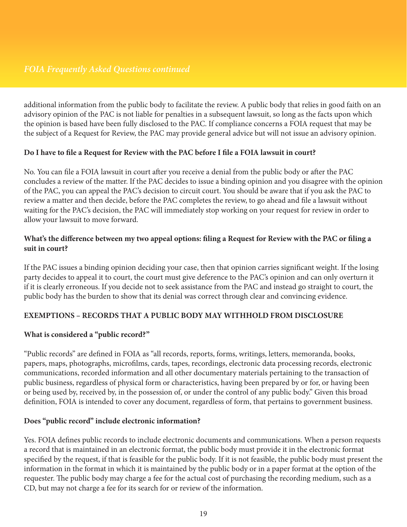additional information from the public body to facilitate the review. A public body that relies in good faith on an advisory opinion of the PAC is not liable for penalties in a subsequent lawsuit, so long as the facts upon which the opinion is based have been fully disclosed to the PAC. If compliance concerns a FOIA request that may be the subject of a Request for Review, the PAC may provide general advice but will not issue an advisory opinion.

## **Do I have to file a Request for Review with the PAC before I file a FOIA lawsuit in court?**

No. You can file a FOIA lawsuit in court after you receive a denial from the public body or after the PAC concludes a review of the matter. If the PAC decides to issue a binding opinion and you disagree with the opinion of the PAC, you can appeal the PAC's decision to circuit court. You should be aware that if you ask the PAC to review a matter and then decide, before the PAC completes the review, to go ahead and file a lawsuit without waiting for the PAC's decision, the PAC will immediately stop working on your request for review in order to allow your lawsuit to move forward.

## **What's the difference between my two appeal options: filing a Request for Review with the PAC or filing a suit in court?**

If the PAC issues a binding opinion deciding your case, then that opinion carries significant weight. If the losing party decides to appeal it to court, the court must give deference to the PAC's opinion and can only overturn it if it is clearly erroneous. If you decide not to seek assistance from the PAC and instead go straight to court, the public body has the burden to show that its denial was correct through clear and convincing evidence.

## **EXEMPTIONS – RECORDS THAT A PUBLIC BODY MAY WITHHOLD FROM DISCLOSURE**

## **What is considered a "public record?"**

"Public records" are defined in FOIA as "all records, reports, forms, writings, letters, memoranda, books, papers, maps, photographs, microfilms, cards, tapes, recordings, electronic data processing records, electronic communications, recorded information and all other documentary materials pertaining to the transaction of public business, regardless of physical form or characteristics, having been prepared by or for, or having been or being used by, received by, in the possession of, or under the control of any public body." Given this broad definition, FOIA is intended to cover any document, regardless of form, that pertains to government business.

## **Does "public record" include electronic information?**

Yes. FOIA defines public records to include electronic documents and communications. When a person requests a record that is maintained in an electronic format, the public body must provide it in the electronic format specified by the request, if that is feasible for the public body. If it is not feasible, the public body must present the information in the format in which it is maintained by the public body or in a paper format at the option of the requester. The public body may charge a fee for the actual cost of purchasing the recording medium, such as a CD, but may not charge a fee for its search for or review of the information.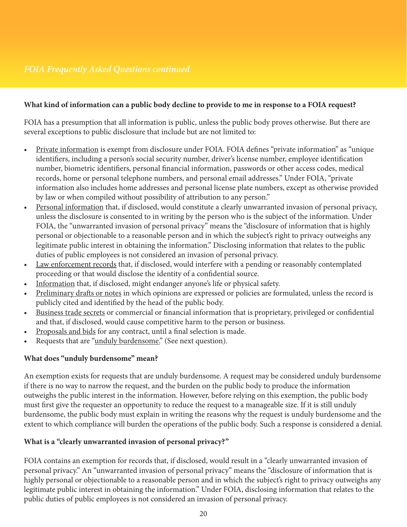## **What kind of information can a public body decline to provide to me in response to a FOIA request?**

FOIA has a presumption that all information is public, unless the public body proves otherwise. But there are several exceptions to public disclosure that include but are not limited to:

- Private information is exempt from disclosure under FOIA. FOIA defines "private information" as "unique identifiers, including a person's social security number, driver's license number, employee identification number, biometric identifiers, personal financial information, passwords or other access codes, medical records, home or personal telephone numbers, and personal email addresses." Under FOIA, "private information also includes home addresses and personal license plate numbers, except as otherwise provided by law or when compiled without possibility of attribution to any person."
- Personal information that, if disclosed, would constitute a clearly unwarranted invasion of personal privacy, unless the disclosure is consented to in writing by the person who is the subject of the information. Under FOIA, the "unwarranted invasion of personal privacy" means the "disclosure of information that is highly personal or objectionable to a reasonable person and in which the subject's right to privacy outweighs any legitimate public interest in obtaining the information." Disclosing information that relates to the public duties of public employees is not considered an invasion of personal privacy.
- Law enforcement records that, if disclosed, would interfere with a pending or reasonably contemplated proceeding or that would disclose the identity of a confidential source.
- Information that, if disclosed, might endanger anyone's life or physical safety.
- Preliminary drafts or notes in which opinions are expressed or policies are formulated, unless the record is publicly cited and identified by the head of the public body.
- Business trade secrets or commercial or financial information that is proprietary, privileged or confidential and that, if disclosed, would cause competitive harm to the person or business.
- Proposals and bids for any contract, until a final selection is made.
- Requests that are "unduly burdensome." (See next question).

## **What does "unduly burdensome" mean?**

An exemption exists for requests that are unduly burdensome. A request may be considered unduly burdensome if there is no way to narrow the request, and the burden on the public body to produce the information outweighs the public interest in the information. However, before relying on this exemption, the public body must first give the requester an opportunity to reduce the request to a manageable size. If it is still unduly burdensome, the public body must explain in writing the reasons why the request is unduly burdensome and the extent to which compliance will burden the operations of the public body. Such a response is considered a denial.

## **What is a "clearly unwarranted invasion of personal privacy?"**

FOIA contains an exemption for records that, if disclosed, would result in a "clearly unwarranted invasion of personal privacy." An "unwarranted invasion of personal privacy" means the "disclosure of information that is highly personal or objectionable to a reasonable person and in which the subject's right to privacy outweighs any legitimate public interest in obtaining the information." Under FOIA, disclosing information that relates to the public duties of public employees is not considered an invasion of personal privacy.